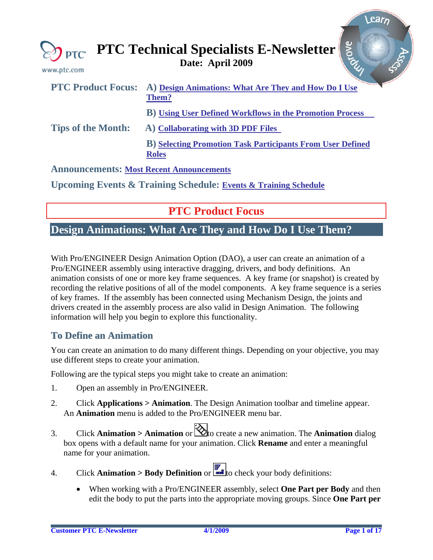<span id="page-0-0"></span>

| www.ptc.com               | <b>Arove</b><br>$\bigotimes_{\mathsf{PTC}}$ PTC Technical Specialists E-Newsletter |
|---------------------------|------------------------------------------------------------------------------------|
| <b>PTC Product Focus:</b> | A) Design Animations: What Are They and How Do I Use<br>Them?                      |
|                           | <b>B</b> ) Using User Defined Workflows in the Promotion Process                   |
| <b>Tips of the Month:</b> | A) Collaborating with 3D PDF Files                                                 |
|                           | <b>B)</b> Selecting Promotion Task Participants From User Defined<br><b>Roles</b>  |
|                           | <b>Announcements: Most Recent Announcements</b>                                    |
|                           | <b>Upcoming Events &amp; Training Schedule: Events &amp; Training Schedule</b>     |
|                           |                                                                                    |

**PTC Product Focus** 

### **Design Animations: What Are They and How Do I Use Them?**

With Pro/ENGINEER Design Animation Option (DAO), a user can create an animation of a Pro/ENGINEER assembly using interactive dragging, drivers, and body definitions. An animation consists of one or more key frame sequences. A key frame (or snapshot) is created by recording the relative positions of all of the model components. A key frame sequence is a series of key frames. If the assembly has been connected using Mechanism Design, the joints and drivers created in the assembly process are also valid in Design Animation. The following information will help you begin to explore this functionality.

### **To Define an Animation**

You can create an animation to do many different things. Depending on your objective, you may use different steps to create your animation.

Following are the typical steps you might take to create an animation:

- 1. Open an assembly in Pro/ENGINEER.
- 2. Click **Applications > Animation**. The Design Animation toolbar and timeline appear. An **Animation** menu is added to the Pro/ENGINEER menu bar.
- 3. Click **Animation > Animation** or  $\mathbb{Q}$  to create a new animation. The **Animation** dialog box opens with a default name for your animation. Click **Rename** and enter a meaningful name for your animation.
- 4. Click **Animation > Body Definition** or  $\begin{bmatrix} \bullet & \bullet \\ \bullet & \bullet \end{bmatrix}$  to check your body definitions:
	- When working with a Pro/ENGINEER assembly, select **One Part per Body** and then edit the body to put the parts into the appropriate moving groups. Since **One Part per**

earn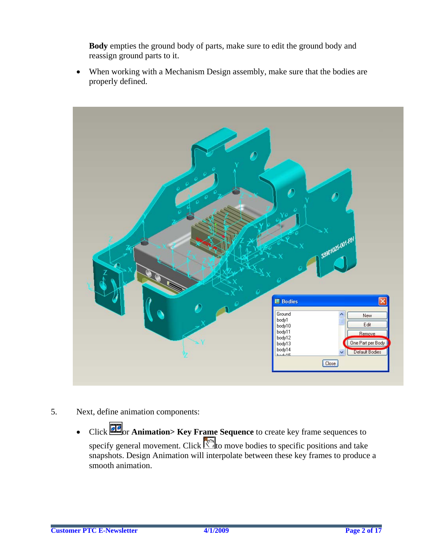**Body** empties the ground body of parts, make sure to edit the ground body and reassign ground parts to it.

• When working with a Mechanism Design assembly, make sure that the bodies are properly defined.



- 5. Next, define animation components:
	- Click **Frame Sequence** to create key frame sequences to specify general movement. Click  $\mathbb{C}$  to move bodies to specific positions and take snapshots. Design Animation will interpolate between these key frames to produce a smooth animation.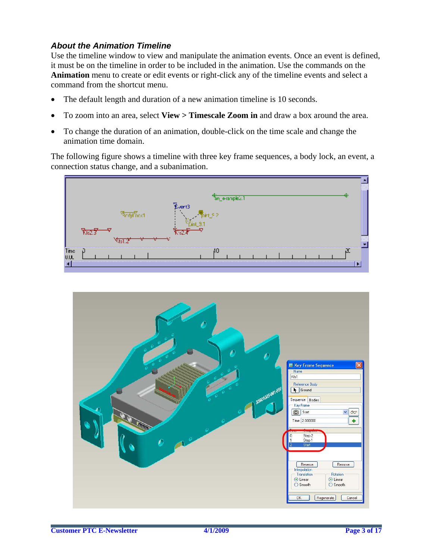### *About the Animation Timeline*

Use the timeline window to view and manipulate the animation events. Once an event is defined, it must be on the timeline in order to be included in the animation. Use the commands on the **Animation** menu to create or edit events or right-click any of the timeline events and select a command from the shortcut menu.

- The default length and duration of a new animation timeline is 10 seconds.
- To zoom into an area, select **View > Timescale Zoom in** and draw a box around the area.
- To change the duration of an animation, double-click on the time scale and change the animation time domain.

The following figure shows a timeline with three key frame sequences, a body lock, an event, a connection status change, and a subanimation.



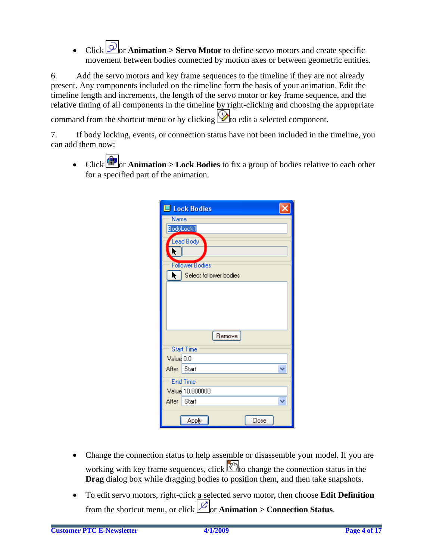Click **Or Animation > Servo Motor** to define servo motors and create specific movement between bodies connected by motion axes or between geometric entities.

6. Add the servo motors and key frame sequences to the timeline if they are not already present. Any components included on the timeline form the basis of your animation. Edit the timeline length and increments, the length of the servo motor or key frame sequence, and the relative timing of all components in the timeline by right-clicking and choosing the appropriate

command from the shortcut menu or by clicking  $\mathbb Q$  to edit a selected component.

7. If body locking, events, or connection status have not been included in the timeline, you can add them now:

• Click **T**or **Animation > Lock Bodies** to fix a group of bodies relative to each other for a specified part of the animation.

|             | <b>ill</b> Lock Bodies |
|-------------|------------------------|
| Name        |                        |
|             | BodyLock1              |
|             | Lead Body              |
|             |                        |
|             | <b>Follower Bodies</b> |
|             | Select follower bodies |
|             |                        |
|             |                        |
|             |                        |
|             |                        |
|             | Remove                 |
|             | <b>Start Time</b>      |
| Value 0.0   |                        |
| After Start |                        |
|             | <b>End Time</b>        |
|             | Value 10.000000        |
| After Start |                        |
|             | Close<br>Apply         |

- Change the connection status to help assemble or disassemble your model. If you are working with key frame sequences, click  $\mathbb{C}$  to change the connection status in the **Drag** dialog box while dragging bodies to position them, and then take snapshots.
- To edit servo motors, right-click a selected servo motor, then choose **Edit Definition** from the shortcut menu, or click  $\mathcal{L}_{\text{or}}$  **Animation > Connection Status**.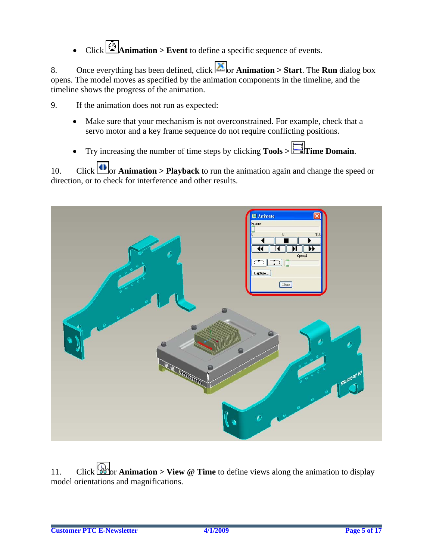# $Click$  Animation > Event to define a specific sequence of events.

8. Once everything has been defined, click  $\Box$  or **Animation > Start**. The **Run** dialog box opens. The model moves as specified by the animation components in the timeline, and the timeline shows the progress of the animation.

9. If the animation does not run as expected:

- Make sure that your mechanism is not overconstrained. For example, check that a servo motor and a key frame sequence do not require conflicting positions.
- Try increasing the number of time steps by clicking **Tools > Time Domain**.

10. Click  $\bigcup_{n=1}^{\infty}$  **Animation > Playback** to run the animation again and change the speed or direction, or to check for interference and other results.



11. Click  $\begin{bmatrix} \frac{1}{2} \\ 0 \end{bmatrix}$  or **Animation > View @ Time** to define views along the animation to display model orientations and magnifications.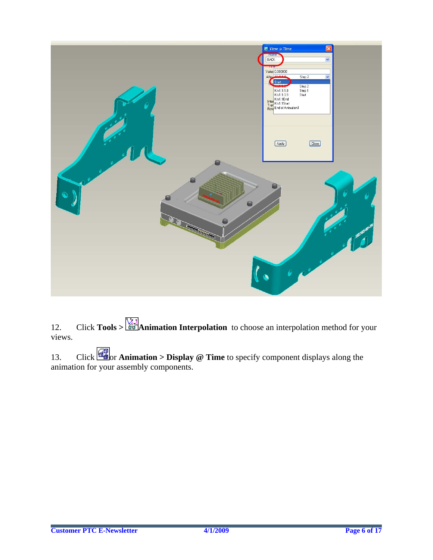

12. Click **Tools** >  $\frac{1}{200}$ **Animation Interpolation** to choose an interpolation method for your views.

13. Click **or Animation > Display @ Time** to specify component displays along the animation for your assembly components.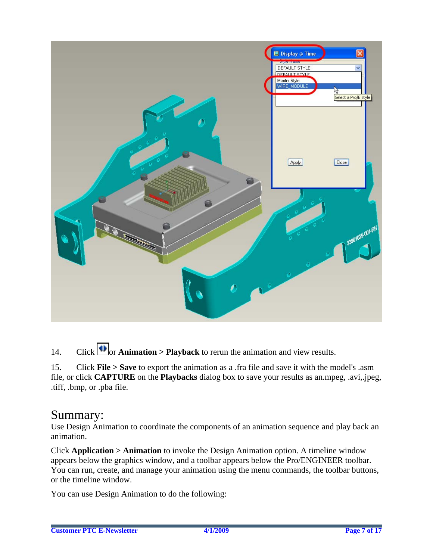

14. Click  $\Box$  or **Animation > Playback** to rerun the animation and view results.

15. Click **File > Save** to export the animation as a .fra file and save it with the model's .asm file, or click **CAPTURE** on the **Playbacks** dialog box to save your results as an.mpeg, .avi,.jpeg, .tiff, .bmp, or .pba file.

# Summary:

Use Design Animation to coordinate the components of an animation sequence and play back an animation.

Click **Application > Animation** to invoke the Design Animation option. A timeline window appears below the graphics window, and a toolbar appears below the Pro/ENGINEER toolbar. You can run, create, and manage your animation using the menu commands, the toolbar buttons, or the timeline window.

You can use Design Animation to do the following: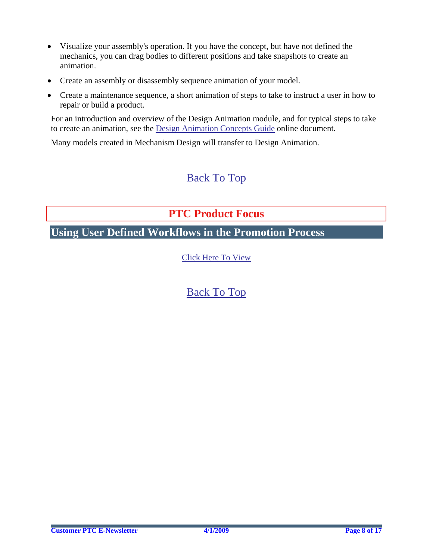- <span id="page-7-0"></span>• Visualize your assembly's operation. If you have the concept, but have not defined the mechanics, you can drag bodies to different positions and take snapshots to create an animation.
- Create an assembly or disassembly sequence animation of your model.
- Create a maintenance sequence, a short animation of steps to take to instruct a user in how to repair or build a product.

For an introduction and overview of the Design Animation module, and for typical steps to take to create an animation, see the Design Animation Concepts Guide online document.

Many models created in Mechanism Design will transfer to Design Animation.

# [Back To Top](#page-0-0)

# **PTC Product Focus**

**Using User Defined Workflows in the Promotion Process** 

[Click Here To View](http://members.shaw.ca/jpeng/newsletter/PTC_Technical_Specialists_E-Newsletter_2009_04_enterprise.pdf)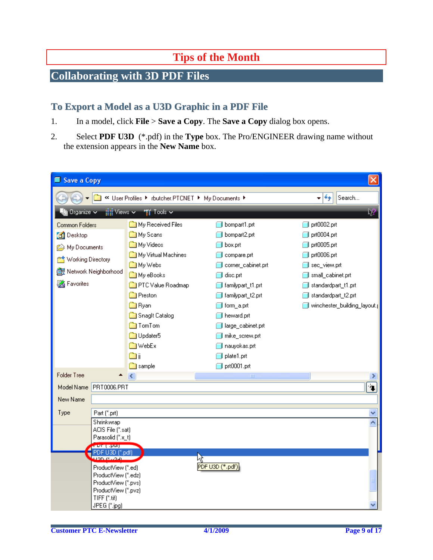# **Tips of the Month**

# <span id="page-8-0"></span>**Collaborating with 3D PDF Files**

### **To Export a Model as a U3D Graphic in a PDF File**

- 1. In a model, click **File** > **Save a Copy**. The **Save a Copy** dialog box opens.
- 2. Select **PDF U3D** (\*.pdf) in the **Type** box. The Pro/ENGINEER drawing name without the extension appears in the **New Name** box.

| Save a Copy                                                                                |                                                     |                     |                    |                             |
|--------------------------------------------------------------------------------------------|-----------------------------------------------------|---------------------|--------------------|-----------------------------|
| $+$<br>« User Profiles > rbutcher.PTCNET > My Documents ><br>Search<br>۰                   |                                                     |                     |                    |                             |
| <b>Til</b> Tools ~<br>ि<br>$\mathbb{H}$ Views $\sim$<br>$\blacksquare$ Organize $\backsim$ |                                                     |                     |                    |                             |
| Common Folders                                                                             |                                                     | My Received Files   | bompart1.prt       | prt0002.prt                 |
| <b>B</b> Desktop                                                                           |                                                     | My Scans            | bompart2.prt       | prt0004.prt                 |
| © My Documents                                                                             |                                                     | My Videos           | box.prt            | prt0005.prt                 |
|                                                                                            |                                                     | My Virtual Machines | compare.prt        | prt0006.prt                 |
| Working Directory                                                                          |                                                     | My Webs             | corner_cabinet.prt | sec_view.prt                |
| <b>RE</b> Network Neighborhood                                                             |                                                     | My eBooks           | disc.prt           | small_cabinet.prt           |
| Favorites                                                                                  |                                                     | PTC Value Roadmap   | familypart_t1.prt  | standardpart_t1.prt         |
|                                                                                            |                                                     | Preston             | familypart_t2.prt  | standardpart_t2.prt         |
|                                                                                            |                                                     | <b>Byan</b>         | form_a.prt         | winchester_building_layout. |
|                                                                                            |                                                     | Snaglt Catalog      | heward.prt         |                             |
|                                                                                            |                                                     | <b>Com</b> TomTom   | large_cabinet.prt  |                             |
|                                                                                            |                                                     | <b>D</b> D Updater5 | mike_screw.prt     |                             |
|                                                                                            |                                                     | <b>MebEx</b>        | nauyokas.prt       |                             |
|                                                                                            |                                                     | $\mathbb{Z}^n$      | plate1.prt         |                             |
|                                                                                            |                                                     | <b>a</b> sample     | prt0001.prt        |                             |
| <b>Folder Tree</b>                                                                         |                                                     | K.                  | Ш                  |                             |
| Model Name PRT0006.PRT                                                                     |                                                     |                     |                    | $\ddot{\phantom{1}}$        |
| New Name                                                                                   |                                                     |                     |                    |                             |
| Type                                                                                       | Part (*.prt)                                        |                     |                    |                             |
|                                                                                            | Shrinkwrap                                          |                     |                    |                             |
|                                                                                            | ACIS File (*.sat)                                   |                     |                    |                             |
|                                                                                            | Parasolid (".x_t)                                   |                     |                    |                             |
| and the purp<br>PDF U3D f".pdf                                                             |                                                     |                     |                    |                             |
|                                                                                            | upp is low                                          |                     | Ņ٤                 |                             |
|                                                                                            | ProductView (*.ed)                                  |                     | PDF U3D (*.pdf)    |                             |
|                                                                                            | ProductView [".pvs]                                 |                     |                    |                             |
|                                                                                            | ProductView (*.pvz)                                 |                     |                    |                             |
|                                                                                            |                                                     |                     |                    |                             |
|                                                                                            | ProductView (".edz)<br>TIFF (*.tif)<br>JPEG (*.jpg) |                     |                    |                             |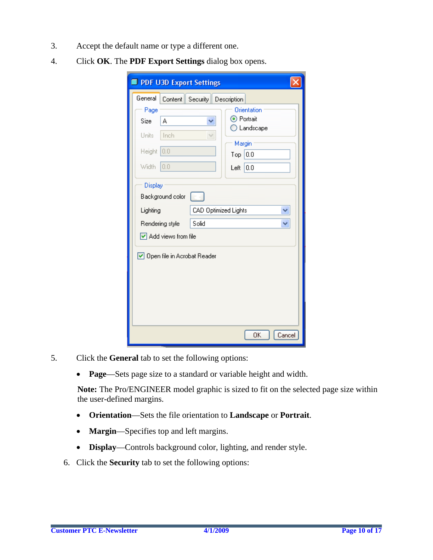- 3. Accept the default name or type a different one.
- 4. Click **OK**. The **PDF Export Settings** dialog box opens.

| PDF U3D Export Settings                                                                                                                 |                   |  |                                  |                                             |
|-----------------------------------------------------------------------------------------------------------------------------------------|-------------------|--|----------------------------------|---------------------------------------------|
| General                                                                                                                                 |                   |  | Content   Security   Description |                                             |
| Page<br>Size<br>Units<br><b>Height</b>                                                                                                  | A<br>Inch<br> 0.0 |  | ⊙ Portrait<br>Margin<br>Top      | Orientation<br>$\bigcirc$ Landscape<br> 0.0 |
| Width                                                                                                                                   | 10.0              |  | Left                             | 0.0                                         |
| Display<br>Background color<br>CAD Optimized Lights<br>Lighting<br>Solid<br>Rendering style<br>$\boxed{\mathsf{v}}$ Add views from file |                   |  |                                  |                                             |
| Open file in Acrobat Reader                                                                                                             |                   |  |                                  |                                             |
|                                                                                                                                         |                   |  |                                  | OΚ<br>Cancel                                |

- 5. Click the **General** tab to set the following options:
	- **Page**—Sets page size to a standard or variable height and width.

**Note:** The Pro/ENGINEER model graphic is sized to fit on the selected page size within the user-defined margins.

- **Orientation**—Sets the file orientation to **Landscape** or **Portrait**.
- **Margin**—Specifies top and left margins.
- **Display**—Controls background color, lighting, and render style.
- 6. Click the **Security** tab to set the following options: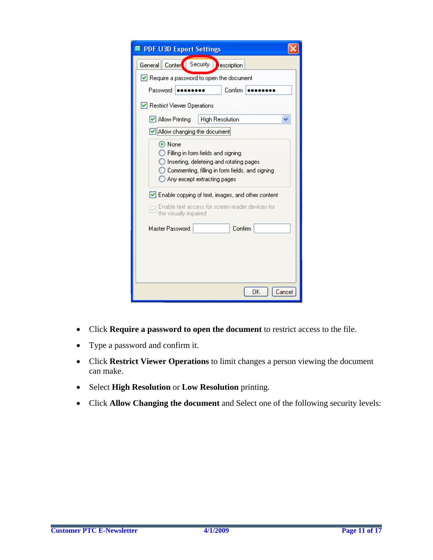| PDF U3D Export Settings                                                                                                                                                   |  |  |  |
|---------------------------------------------------------------------------------------------------------------------------------------------------------------------------|--|--|--|
| Security<br><b>Conter</b><br>General   <br>escription                                                                                                                     |  |  |  |
| Require a password to open the document                                                                                                                                   |  |  |  |
| Password<br>Confirm                                                                                                                                                       |  |  |  |
| Restrict Viewer Operations                                                                                                                                                |  |  |  |
| <b>High Resolution</b><br>Allow Printing<br>M                                                                                                                             |  |  |  |
| Allow changing the document                                                                                                                                               |  |  |  |
| ⊙ None<br>Filling in form fields and signing<br>Inserting, deleteing and rotating pages<br>Commenting, filling in form fields, and signing<br>Any except extracting pages |  |  |  |
| $\vert \mathbf{v} \vert$ Enable copying of text, images, and other content<br>Enable text access for screen reader devices for<br>v<br>the visually impaired              |  |  |  |
| Confirm<br>Master Password                                                                                                                                                |  |  |  |
| OΚ<br>Cancel                                                                                                                                                              |  |  |  |

- Click **Require a password to open the document** to restrict access to the file.
- Type a password and confirm it.
- Click **Restrict Viewer Operations** to limit changes a person viewing the document can make.
- Select **High Resolution** or **Low Resolution** printing.
- Click **Allow Changing the document** and Select one of the following security levels: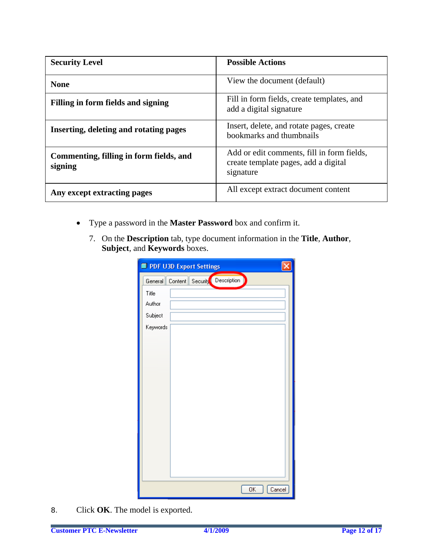| <b>Security Level</b>                              | <b>Possible Actions</b>                                                                         |
|----------------------------------------------------|-------------------------------------------------------------------------------------------------|
| <b>None</b>                                        | View the document (default)                                                                     |
| Filling in form fields and signing                 | Fill in form fields, create templates, and<br>add a digital signature                           |
| Inserting, deleting and rotating pages             | Insert, delete, and rotate pages, create<br>bookmarks and thumbnails                            |
| Commenting, filling in form fields, and<br>signing | Add or edit comments, fill in form fields,<br>create template pages, add a digital<br>signature |
| Any except extracting pages                        | All except extract document content                                                             |

- Type a password in the **Master Password** box and confirm it.
	- 7. On the **Description** tab, type document information in the **Title**, **Author**, **Subject**, and **Keywords** boxes.

|          | PDF U3D Export Settings              |  |
|----------|--------------------------------------|--|
|          | General Content Security Description |  |
| Title    |                                      |  |
| Author   |                                      |  |
| Subject  |                                      |  |
| Keywords |                                      |  |
|          |                                      |  |
|          |                                      |  |
|          |                                      |  |
|          |                                      |  |
|          |                                      |  |
|          |                                      |  |
|          |                                      |  |
|          |                                      |  |
|          |                                      |  |
|          |                                      |  |
|          |                                      |  |
|          |                                      |  |
|          |                                      |  |
|          | 0K<br>Cancel                         |  |

8. Click **OK**. The model is exported.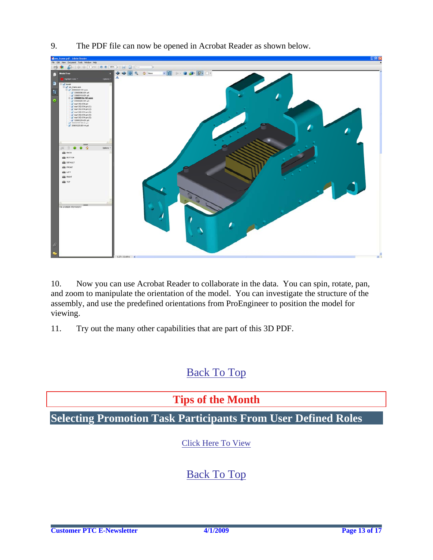- a.  $-80 - 99 - 90$
- <span id="page-12-0"></span>9. The PDF file can now be opened in Acrobat Reader as shown below.

10. Now you can use Acrobat Reader to collaborate in the data. You can spin, rotate, pan, and zoom to manipulate the orientation of the model. You can investigate the structure of the assembly, and use the predefined orientations from ProEngineer to position the model for viewing.

11. Try out the many other capabilities that are part of this 3D PDF.

### [Back To Top](#page-0-0)

### **Tips of the Month**

**Selecting Promotion Task Participants From User Defined Roles** 

[Click Here To View](http://members.shaw.ca/jpeng/newsletter/PTC_Technical_Specialists_E-Newsletter_2009_04_enterprise.pdf)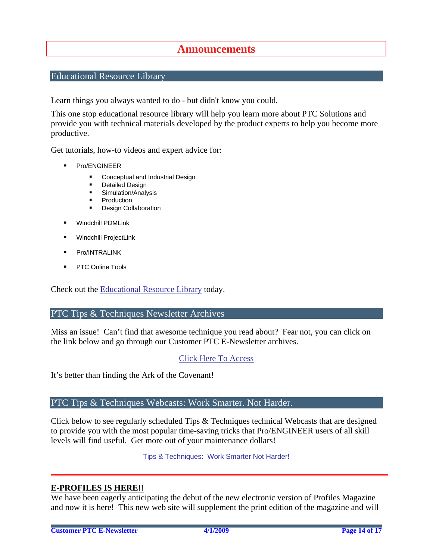### **Announcements**

### <span id="page-13-0"></span>Educational Resource Library

Learn things you always wanted to do - but didn't know you could.

This one stop educational resource library will help you learn more about PTC Solutions and provide you with technical materials developed by the product experts to help you become more productive.

Get tutorials, how-to videos and expert advice for:

- **Pro/ENGINEER** 
	- **EXECONCEPT** Conceptual and Industrial Design
	- **•** Detailed Design
	- **Simulation/Analysis**
	- Production
	- Design Collaboration
- Windchill PDMLink
- Windchill ProjectLink
- Pro/INTRALINK
- PTC Online Tools

Check out the [Educational Resource Library](http://www.ptc.com/community/proewf/newtools/tutorials.htm) today.

#### PTC Tips & Techniques Newsletter Archives

Miss an issue! Can't find that awesome technique you read about? Fear not, you can click on the link below and go through our Customer PTC E-Newsletter archives.

#### [Click Here To Access](http://www.ptc.com/carezone/archive/index.htm)

It's better than finding the Ark of the Covenant!

#### PTC Tips & Techniques Webcasts: Work Smarter. Not Harder.

Click below to see regularly scheduled Tips & Techniques technical Webcasts that are designed to provide you with the most popular time-saving tricks that Pro/ENGINEER users of all skill levels will find useful. Get more out of your maintenance dollars!

[Tips & Techniques: Work Smarter Not Harder!](http://www.ptc.com/appserver/it/icm/cda/template_lib/events/series.jsp?&im_dbkey=11442&icg_dbkey=141)

#### **E-PROFILES IS HERE!!**

We have been eagerly anticipating the debut of the new electronic version of Profiles Magazine and now it is here! This new web site will supplement the print edition of the magazine and will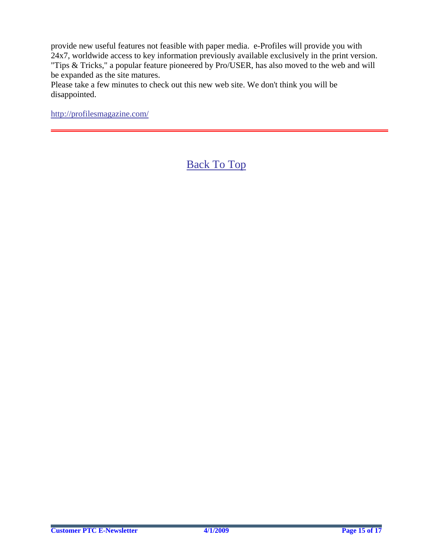provide new useful features not feasible with paper media. e-Profiles will provide you with 24x7, worldwide access to key information previously available exclusively in the print version. "Tips & Tricks," a popular feature pioneered by Pro/USER, has also moved to the web and will be expanded as the site matures.

Please take a few minutes to check out this new web site. We don't think you will be disappointed.

<http://profilesmagazine.com/>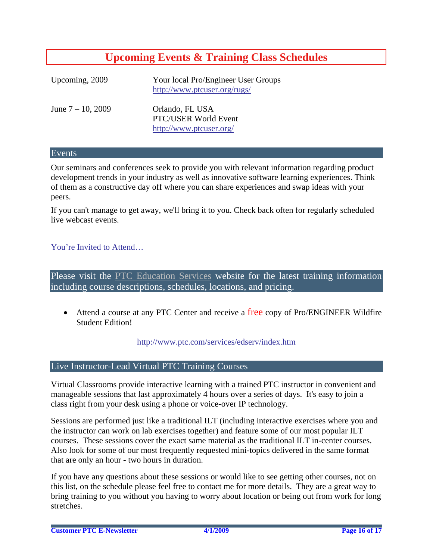# **Upcoming Events & Training Class Schedules**

<span id="page-15-0"></span>

| Upcoming, 2009       | Your local Pro/Engineer User Groups<br>http://www.ptcuser.org/rugs/ |
|----------------------|---------------------------------------------------------------------|
| June $7 - 10$ , 2009 | Orlando, FL USA<br>PTC/USER World Event<br>http://www.ptcuser.org/  |

#### Events

Our seminars and conferences seek to provide you with relevant information regarding product development trends in your industry as well as innovative software learning experiences. Think of them as a constructive day off where you can share experiences and swap ideas with your peers.

If you can't manage to get away, we'll bring it to you. Check back often for regularly scheduled live webcast events.

#### [You're Invited to Attend…](http://www.ptc.com/company/news/events/index.htm)

Please visit the [PTC Education Services](http://www.ptc.com/services/edserv/) website for the latest training information including course descriptions, schedules, locations, and pricing.

• Attend a course at any PTC Center and receive a free copy of Pro/ENGINEER Wildfire Student Edition!

<http://www.ptc.com/services/edserv/index.htm>

#### Live Instructor-Lead Virtual PTC Training Courses

Virtual Classrooms provide interactive learning with a trained PTC instructor in convenient and manageable sessions that last approximately 4 hours over a series of days. It's easy to join a class right from your desk using a phone or voice-over IP technology.

Sessions are performed just like a traditional ILT (including interactive exercises where you and the instructor can work on lab exercises together) and feature some of our most popular ILT courses. These sessions cover the exact same material as the traditional ILT in-center courses. Also look for some of our most frequently requested mini-topics delivered in the same format that are only an hour - two hours in duration.

If you have any questions about these sessions or would like to see getting other courses, not on this list, on the schedule please feel free to contact me for more details. They are a great way to bring training to you without you having to worry about location or being out from work for long stretches.